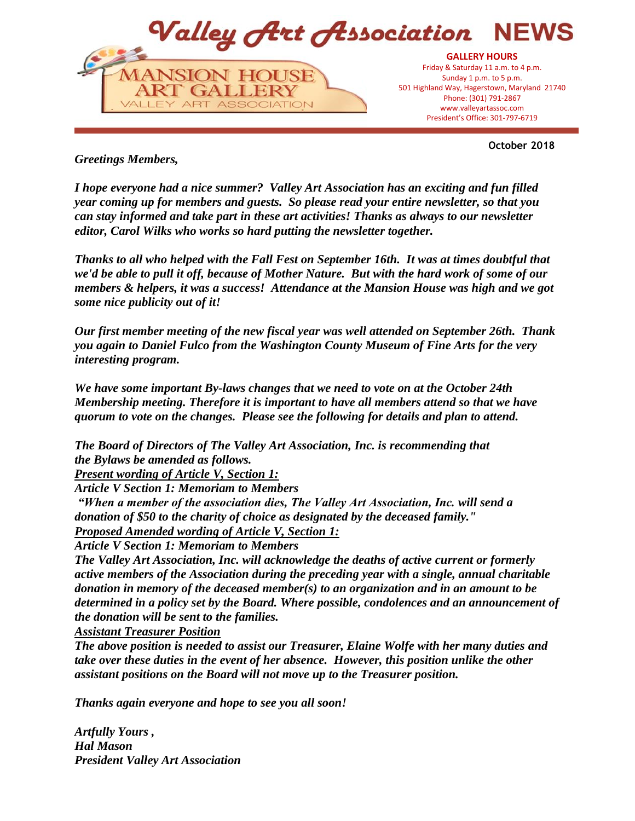

**October 2018**

*Greetings Members,*

*I hope everyone had a nice summer? Valley Art Association has an exciting and fun filled year coming up for members and guests. So please read your entire newsletter, so that you can stay informed and take part in these art activities! Thanks as always to our newsletter editor, Carol Wilks who works so hard putting the newsletter together.*

*Thanks to all who helped with the Fall Fest on September 16th. It was at times doubtful that we'd be able to pull it off, because of Mother Nature. But with the hard work of some of our members & helpers, it was a success! Attendance at the Mansion House was high and we got some nice publicity out of it!* 

*Our first member meeting of the new fiscal year was well attended on September 26th. Thank you again to Daniel Fulco from the Washington County Museum of Fine Arts for the very interesting program.*

*We have some important By-laws changes that we need to vote on at the October 24th Membership meeting. Therefore it is important to have all members attend so that we have quorum to vote on the changes. Please see the following for details and plan to attend.*

*The Board of Directors of The Valley Art Association, Inc. is recommending that the Bylaws be amended as follows.* 

*Present wording of Article V, Section 1:*

*Article V Section 1: Memoriam to Members*

*"When a member of the association dies, The Valley Art Association, Inc. will send a donation of \$50 to the charity of choice as designated by the deceased family."*

*Proposed Amended wording of Article V, Section 1:*

*Article V Section 1: Memoriam to Members*

*The Valley Art Association, Inc. will acknowledge the deaths of active current or formerly active members of the Association during the preceding year with a single, annual charitable donation in memory of the deceased member(s) to an organization and in an amount to be determined in a policy set by the Board. Where possible, condolences and an announcement of the donation will be sent to the families.*

*Assistant Treasurer Position*

*The above position is needed to assist our Treasurer, Elaine Wolfe with her many duties and take over these duties in the event of her absence. However, this position unlike the other assistant positions on the Board will not move up to the Treasurer position.*

*Thanks again everyone and hope to see you all soon!*

*Artfully Yours , Hal Mason President Valley Art Association*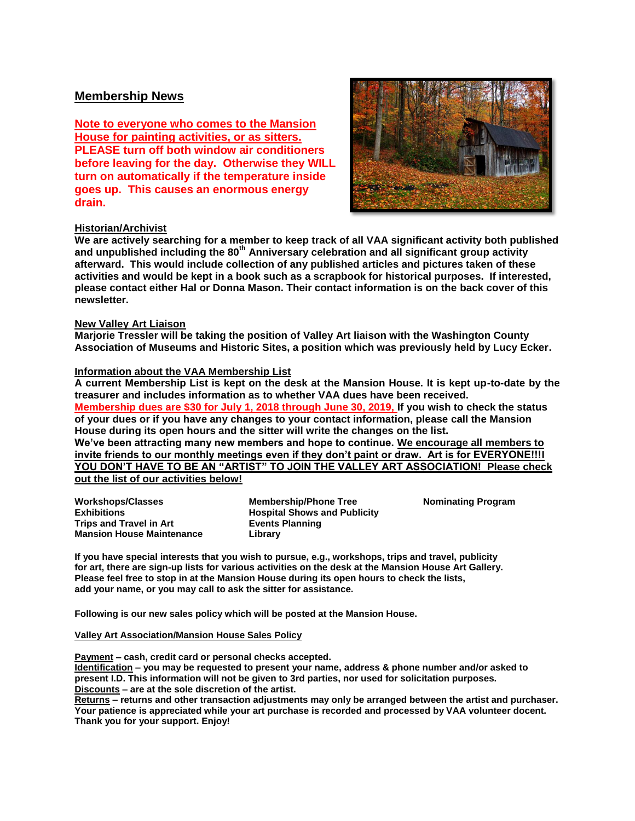## **Membership News**

**Note to everyone who comes to the Mansion House for painting activities, or as sitters. PLEASE turn off both window air conditioners before leaving for the day. Otherwise they WILL turn on automatically if the temperature inside goes up. This causes an enormous energy drain.**



#### **Historian/Archivist**

**We are actively searching for a member to keep track of all VAA significant activity both published and unpublished including the 80th Anniversary celebration and all significant group activity afterward. This would include collection of any published articles and pictures taken of these activities and would be kept in a book such as a scrapbook for historical purposes. If interested, please contact either Hal or Donna Mason. Their contact information is on the back cover of this newsletter.**

#### **New Valley Art Liaison**

**Marjorie Tressler will be taking the position of Valley Art liaison with the Washington County Association of Museums and Historic Sites, a position which was previously held by Lucy Ecker.**

#### **Information about the VAA Membership List**

**A current Membership List is kept on the desk at the Mansion House. It is kept up-to-date by the treasurer and includes information as to whether VAA dues have been received. Membership dues are \$30 for July 1, 2018 through June 30, 2019, If you wish to check the status of your dues or if you have any changes to your contact information, please call the Mansion House during its open hours and the sitter will write the changes on the list. We've been attracting many new members and hope to continue. We encourage all members to invite friends to our monthly meetings even if they don't paint or draw. Art is for EVERYONE!!!I YOU DON'T HAVE TO BE AN "ARTIST" TO JOIN THE VALLEY ART ASSOCIATION! Please check out the list of our activities below!**

| <b>Workshops/Classes</b>         | <b>Membership/Phone Tree</b>        | <b>Nominating Program</b> |
|----------------------------------|-------------------------------------|---------------------------|
| <b>Exhibitions</b>               | <b>Hospital Shows and Publicity</b> |                           |
| Trips and Travel in Art          | <b>Events Planning</b>              |                           |
| <b>Mansion House Maintenance</b> | Library                             |                           |

**If you have special interests that you wish to pursue, e.g., workshops, trips and travel, publicity for art, there are sign-up lists for various activities on the desk at the Mansion House Art Gallery. Please feel free to stop in at the Mansion House during its open hours to check the lists, add your name, or you may call to ask the sitter for assistance.**

**Following is our new sales policy which will be posted at the Mansion House.**

#### **Valley Art Association/Mansion House Sales Policy**

**Payment – cash, credit card or personal checks accepted.**

**Identification – you may be requested to present your name, address & phone number and/or asked to present I.D. This information will not be given to 3rd parties, nor used for solicitation purposes. Discounts – are at the sole discretion of the artist.**

**Returns – returns and other transaction adjustments may only be arranged between the artist and purchaser. Your patience is appreciated while your art purchase is recorded and processed by VAA volunteer docent. Thank you for your support. Enjoy!**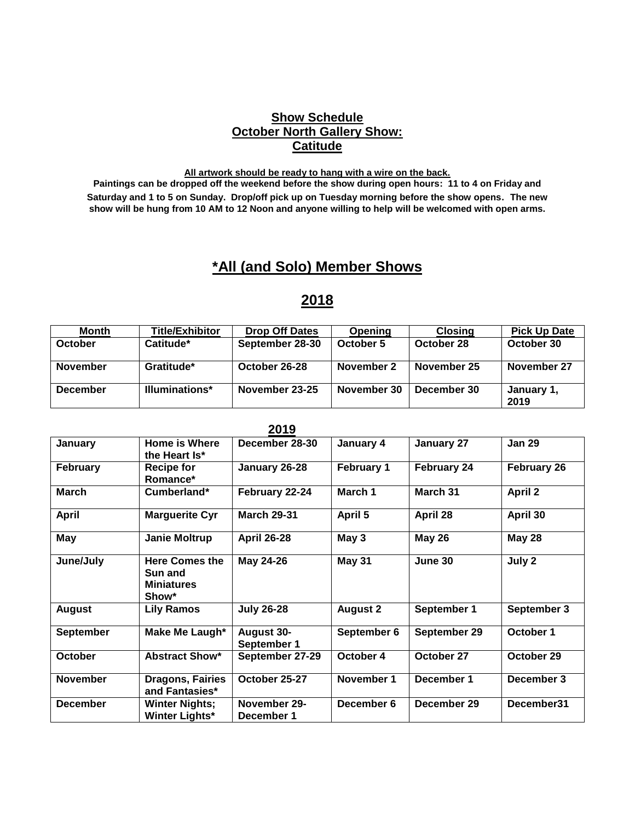# **Show Schedule October North Gallery Show: Catitude**

#### **All artwork should be ready to hang with a wire on the back.**

**Paintings can be dropped off the weekend before the show during open hours: 11 to 4 on Friday and Saturday and 1 to 5 on Sunday. Drop/off pick up on Tuesday morning before the show opens. The new show will be hung from 10 AM to 12 Noon and anyone willing to help will be welcomed with open arms.**

# **\*All (and Solo) Member Shows**

# **2018**

| <b>Month</b>    | <b>Title/Exhibitor</b> | <b>Drop Off Dates</b> | <b>Opening</b> | <b>Closing</b> | <b>Pick Up Date</b> |
|-----------------|------------------------|-----------------------|----------------|----------------|---------------------|
| October         | Catitude*              | September 28-30       | October 5      | October 28     | October 30          |
| <b>November</b> | Gratitude*             | October 26-28         | November 2     | November 25    | November 27         |
| <b>December</b> | <b>Illuminations*</b>  | November 23-25        | November 30    | December 30    | January 1,<br>2019  |

| 20 I J           |                                                                |                                  |                   |                    |                    |
|------------------|----------------------------------------------------------------|----------------------------------|-------------------|--------------------|--------------------|
| January          | Home is Where<br>the Heart Is*                                 | December 28-30                   | January 4         | January 27         | <b>Jan 29</b>      |
| <b>February</b>  | <b>Recipe for</b><br>Romance*                                  | January 26-28                    | <b>February 1</b> | <b>February 24</b> | <b>February 26</b> |
| March            | Cumberland*                                                    | February 22-24                   | March 1           | March 31           | <b>April 2</b>     |
| <b>April</b>     | <b>Marguerite Cyr</b>                                          | <b>March 29-31</b>               | April 5           | April 28           | April 30           |
| <b>May</b>       | <b>Janie Moltrup</b>                                           | <b>April 26-28</b>               | May 3             | <b>May 26</b>      | <b>May 28</b>      |
| June/July        | <b>Here Comes the</b><br>Sun and<br><b>Miniatures</b><br>Show* | May 24-26                        | <b>May 31</b>     | June 30            | July 2             |
| <b>August</b>    | <b>Lily Ramos</b>                                              | <b>July 26-28</b>                | <b>August 2</b>   | September 1        | September 3        |
| <b>September</b> | Make Me Laugh*                                                 | <b>August 30-</b><br>September 1 | September 6       | September 29       | October 1          |
| October          | <b>Abstract Show*</b>                                          | September 27-29                  | October 4         | October 27         | October 29         |
| <b>November</b>  | <b>Dragons, Fairies</b><br>and Fantasies*                      | October 25-27                    | November 1        | December 1         | December 3         |
| <b>December</b>  | <b>Winter Nights;</b><br><b>Winter Lights*</b>                 | November 29-<br>December 1       | December 6        | December 29        | December31         |

## **2019**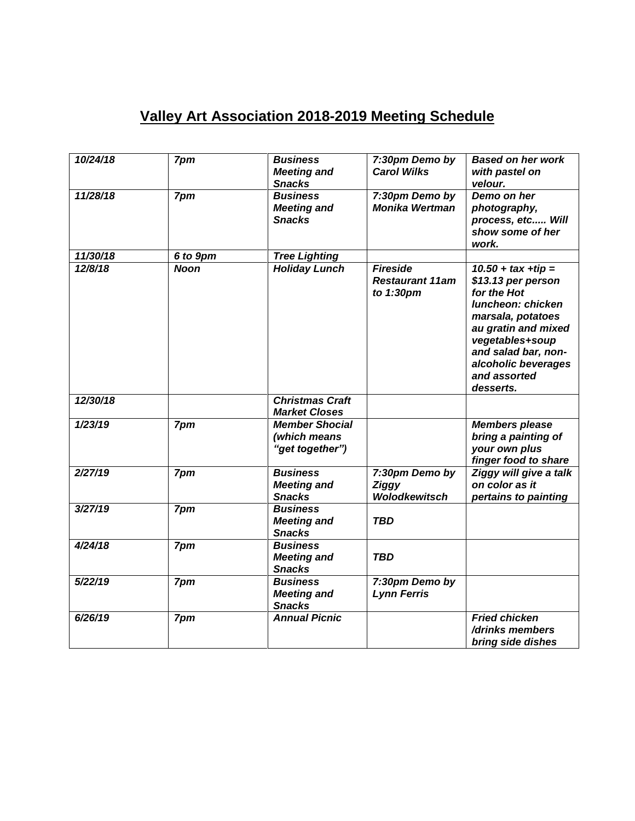# **Valley Art Association 2018-2019 Meeting Schedule**

| 10/24/18 | 7pm         | <b>Business</b><br><b>Meeting and</b><br><b>Snacks</b>   | 7:30pm Demo by<br><b>Carol Wilks</b>                   | <b>Based on her work</b><br>with pastel on<br>velour.                                                                                                                                                                     |
|----------|-------------|----------------------------------------------------------|--------------------------------------------------------|---------------------------------------------------------------------------------------------------------------------------------------------------------------------------------------------------------------------------|
| 11/28/18 | 7pm         | <b>Business</b><br><b>Meeting and</b><br><b>Snacks</b>   | 7:30pm Demo by<br><b>Monika Wertman</b>                | Demo on her<br>photography,<br>process, etc Will<br>show some of her<br>work.                                                                                                                                             |
| 11/30/18 | 6 to 9pm    | <b>Tree Lighting</b>                                     |                                                        |                                                                                                                                                                                                                           |
| 12/8/18  | <b>Noon</b> | <b>Holiday Lunch</b>                                     | <b>Fireside</b><br><b>Restaurant 11am</b><br>to 1:30pm | $10.50 + tax + tip =$<br>\$13.13 per person<br>for the Hot<br>luncheon: chicken<br>marsala, potatoes<br>au gratin and mixed<br>vegetables+soup<br>and salad bar, non-<br>alcoholic beverages<br>and assorted<br>desserts. |
| 12/30/18 |             | <b>Christmas Craft</b><br><b>Market Closes</b>           |                                                        |                                                                                                                                                                                                                           |
| 1/23/19  | 7pm         | <b>Member Shocial</b><br>(which means<br>"get together") |                                                        | <b>Members please</b><br>bring a painting of<br>your own plus<br>finger food to share                                                                                                                                     |
| 2/27/19  | 7pm         | <b>Business</b><br><b>Meeting and</b><br><b>Snacks</b>   | 7:30pm Demo by<br><b>Ziggy</b><br><b>Wolodkewitsch</b> | Ziggy will give a talk<br>on color as it<br>pertains to painting                                                                                                                                                          |
| 3/27/19  | 7pm         | <b>Business</b><br><b>Meeting and</b><br><b>Snacks</b>   | <b>TBD</b>                                             |                                                                                                                                                                                                                           |
| 4/24/18  | 7pm         | <b>Business</b><br><b>Meeting and</b><br><b>Snacks</b>   | <b>TBD</b>                                             |                                                                                                                                                                                                                           |
| 5/22/19  | 7pm         | <b>Business</b><br><b>Meeting and</b><br><b>Snacks</b>   | 7:30pm Demo by<br><b>Lynn Ferris</b>                   |                                                                                                                                                                                                                           |
| 6/26/19  | 7pm         | <b>Annual Picnic</b>                                     |                                                        | <b>Fried chicken</b><br>/drinks members<br>bring side dishes                                                                                                                                                              |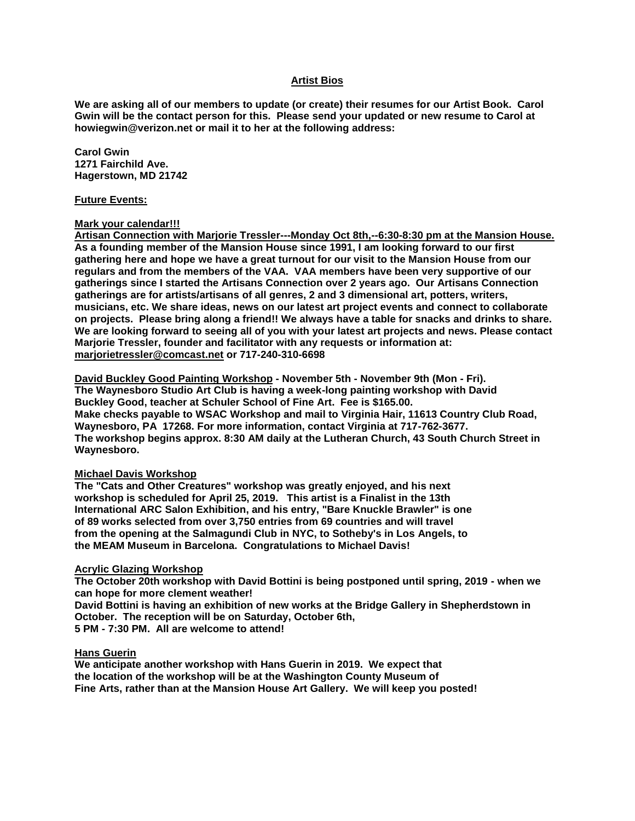#### **Artist Bios**

**We are asking all of our members to update (or create) their resumes for our Artist Book. Carol Gwin will be the contact person for this. Please send your updated or new resume to Carol at howiegwin@verizon.net or mail it to her at the following address:**

**Carol Gwin 1271 Fairchild Ave. Hagerstown, MD 21742**

#### **Future Events:**

#### **Mark your calendar!!!**

**Artisan Connection with Marjorie Tressler---Monday Oct 8th,--6:30-8:30 pm at the Mansion House. As a founding member of the Mansion House since 1991, I am looking forward to our first gathering here and hope we have a great turnout for our visit to the Mansion House from our regulars and from the members of the VAA. VAA members have been very supportive of our gatherings since I started the Artisans Connection over 2 years ago. Our Artisans Connection gatherings are for artists/artisans of all genres, 2 and 3 dimensional art, potters, writers, musicians, etc. We share ideas, news on our latest art project events and connect to collaborate on projects. Please bring along a friend!! We always have a table for snacks and drinks to share. We are looking forward to seeing all of you with your latest art projects and news. Please contact Marjorie Tressler, founder and facilitator with any requests or information at: marjorietressler@comcast.net or 717-240-310-6698**

**David Buckley Good Painting Workshop - November 5th - November 9th (Mon - Fri). The Waynesboro Studio Art Club is having a week-long painting workshop with David Buckley Good, teacher at Schuler School of Fine Art. Fee is \$165.00. Make checks payable to WSAC Workshop and mail to Virginia Hair, 11613 Country Club Road, Waynesboro, PA 17268. For more information, contact Virginia at 717-762-3677. The workshop begins approx. 8:30 AM daily at the Lutheran Church, 43 South Church Street in Waynesboro.**

#### **Michael Davis Workshop**

**The "Cats and Other Creatures" workshop was greatly enjoyed, and his next workshop is scheduled for April 25, 2019. This artist is a Finalist in the 13th International ARC Salon Exhibition, and his entry, "Bare Knuckle Brawler" is one of 89 works selected from over 3,750 entries from 69 countries and will travel from the opening at the Salmagundi Club in NYC, to Sotheby's in Los Angels, to the MEAM Museum in Barcelona. Congratulations to Michael Davis!**

#### **Acrylic Glazing Workshop**

**The October 20th workshop with David Bottini is being postponed until spring, 2019 - when we can hope for more clement weather!** 

**David Bottini is having an exhibition of new works at the Bridge Gallery in Shepherdstown in October. The reception will be on Saturday, October 6th,** 

**5 PM - 7:30 PM. All are welcome to attend!**

#### **Hans Guerin**

**We anticipate another workshop with Hans Guerin in 2019. We expect that the location of the workshop will be at the Washington County Museum of Fine Arts, rather than at the Mansion House Art Gallery. We will keep you posted!**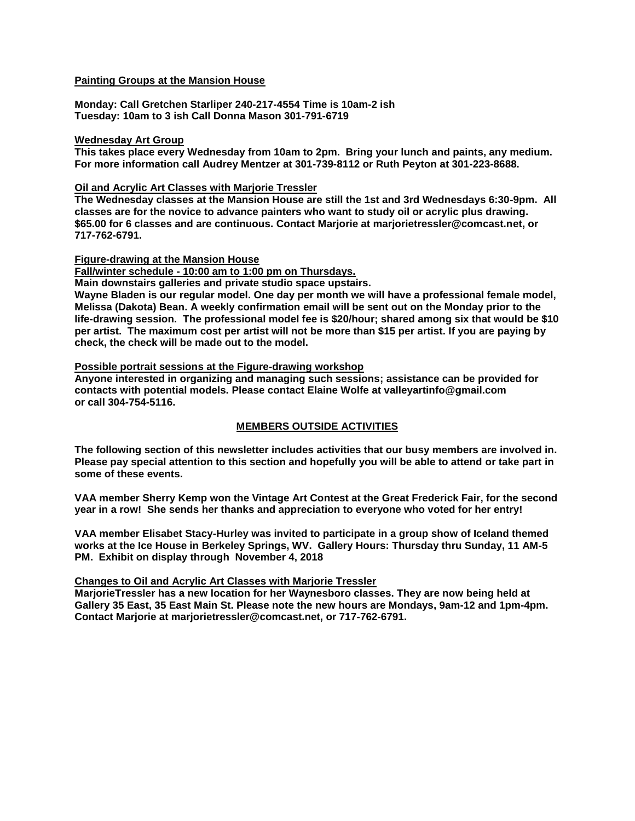#### **Painting Groups at the Mansion House**

**Monday: Call Gretchen Starliper 240-217-4554 Time is 10am-2 ish Tuesday: 10am to 3 ish Call Donna Mason 301-791-6719**

#### **Wednesday Art Group**

**This takes place every Wednesday from 10am to 2pm. Bring your lunch and paints, any medium. For more information call Audrey Mentzer at 301-739-8112 or Ruth Peyton at 301-223-8688.**

#### **Oil and Acrylic Art Classes with Marjorie Tressler**

**The Wednesday classes at the Mansion House are still the 1st and 3rd Wednesdays 6:30-9pm. All classes are for the novice to advance painters who want to study oil or acrylic plus drawing. \$65.00 for 6 classes and are continuous. Contact Marjorie at marjorietressler@comcast.net, or 717-762-6791.**

**Figure-drawing at the Mansion House**

**Fall/winter schedule - 10:00 am to 1:00 pm on Thursdays.** 

**Main downstairs galleries and private studio space upstairs.**

**Wayne Bladen is our regular model. One day per month we will have a professional female model, Melissa (Dakota) Bean. A weekly confirmation email will be sent out on the Monday prior to the life-drawing session. The professional model fee is \$20/hour; shared among six that would be \$10 per artist. The maximum cost per artist will not be more than \$15 per artist. If you are paying by check, the check will be made out to the model.**

#### **Possible portrait sessions at the Figure-drawing workshop**

**Anyone interested in organizing and managing such sessions; assistance can be provided for contacts with potential models. Please contact Elaine Wolfe at valleyartinfo@gmail.com or call 304-754-5116.**

#### **MEMBERS OUTSIDE ACTIVITIES**

**The following section of this newsletter includes activities that our busy members are involved in. Please pay special attention to this section and hopefully you will be able to attend or take part in some of these events.**

**VAA member Sherry Kemp won the Vintage Art Contest at the Great Frederick Fair, for the second year in a row! She sends her thanks and appreciation to everyone who voted for her entry!**

**VAA member Elisabet Stacy-Hurley was invited to participate in a group show of Iceland themed works at the Ice House in Berkeley Springs, WV. Gallery Hours: Thursday thru Sunday, 11 AM-5 PM. Exhibit on display through November 4, 2018**

#### **Changes to Oil and Acrylic Art Classes with Marjorie Tressler**

**MarjorieTressler has a new location for her Waynesboro classes. They are now being held at Gallery 35 East, 35 East Main St. Please note the new hours are Mondays, 9am-12 and 1pm-4pm. Contact Marjorie at marjorietressler@comcast.net, or 717-762-6791.**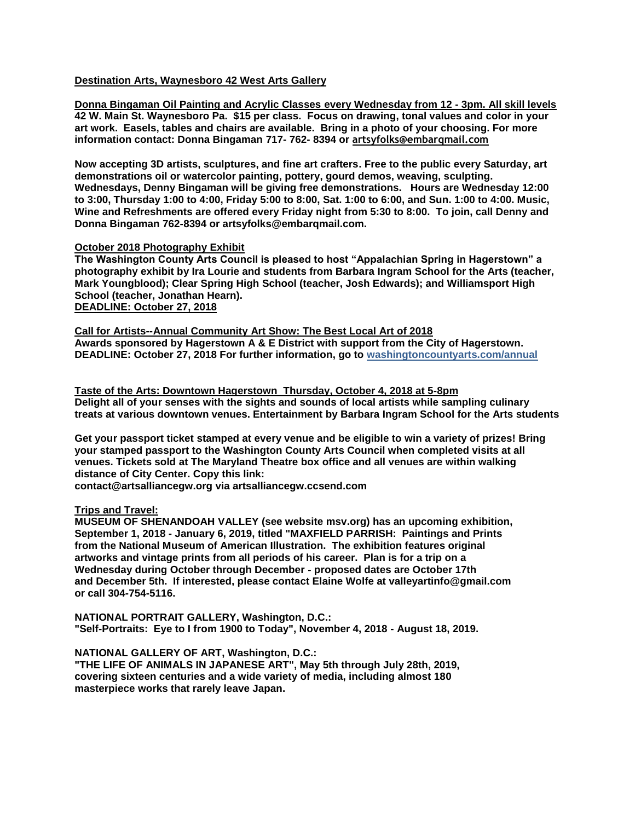#### **Destination Arts, Waynesboro 42 West Arts Gallery**

**Donna Bingaman Oil Painting and Acrylic Classes every Wednesday from 12 - 3pm. All skill levels 42 W. Main St. Waynesboro Pa. \$15 per class. Focus on drawing, tonal values and color in your art work. Easels, tables and chairs are available. Bring in a photo of your choosing. For more information contact: Donna Bingaman 717- 762- 8394 or artsyfolks@embarqmail.com**

**Now accepting 3D artists, sculptures, and fine art crafters. Free to the public every Saturday, art demonstrations oil or watercolor painting, pottery, gourd demos, weaving, sculpting. Wednesdays, Denny Bingaman will be giving free demonstrations. Hours are Wednesday 12:00 to 3:00, Thursday 1:00 to 4:00, Friday 5:00 to 8:00, Sat. 1:00 to 6:00, and Sun. 1:00 to 4:00. Music, Wine and Refreshments are offered every Friday night from 5:30 to 8:00. To join, call Denny and Donna Bingaman 762-8394 or artsyfolks@embarqmail.com.** 

#### **October 2018 Photography Exhibit**

**The Washington County Arts Council is pleased to host "Appalachian Spring in Hagerstown" a photography exhibit by Ira Lourie and students from Barbara Ingram School for the Arts (teacher, Mark Youngblood); Clear Spring High School (teacher, Josh Edwards); and Williamsport High School (teacher, Jonathan Hearn). DEADLINE: October 27, 2018**

**Call for Artists--Annual Community Art Show: The Best Local Art of 2018 Awards sponsored by Hagerstown A & E District with support from the City of Hagerstown. DEADLINE: October 27, 2018 For further information, go to washingtoncountyarts.com/annual**

**Taste of the Arts: Downtown Hagerstown Thursday, October 4, 2018 at 5-8pm Delight all of your senses with the sights and sounds of local artists while sampling culinary treats at various downtown venues. Entertainment by Barbara Ingram School for the Arts students** 

**Get your passport ticket stamped at every venue and be eligible to win a variety of prizes! Bring your stamped passport to the Washington County Arts Council when completed visits at all venues. Tickets sold at The Maryland Theatre box office and all venues are within walking distance of City Center. Copy this link:**

**contact@artsalliancegw.org via artsalliancegw.ccsend.com**

#### **Trips and Travel:**

**MUSEUM OF SHENANDOAH VALLEY (see website msv.org) has an upcoming exhibition, September 1, 2018 - January 6, 2019, titled "MAXFIELD PARRISH: Paintings and Prints from the National Museum of American Illustration. The exhibition features original artworks and vintage prints from all periods of his career. Plan is for a trip on a Wednesday during October through December - proposed dates are October 17th and December 5th. If interested, please contact Elaine Wolfe at valleyartinfo@gmail.com or call 304-754-5116.**

**NATIONAL PORTRAIT GALLERY, Washington, D.C.: "Self-Portraits: Eye to I from 1900 to Today", November 4, 2018 - August 18, 2019.**

**NATIONAL GALLERY OF ART, Washington, D.C.:** 

**"THE LIFE OF ANIMALS IN JAPANESE ART", May 5th through July 28th, 2019, covering sixteen centuries and a wide variety of media, including almost 180 masterpiece works that rarely leave Japan.**